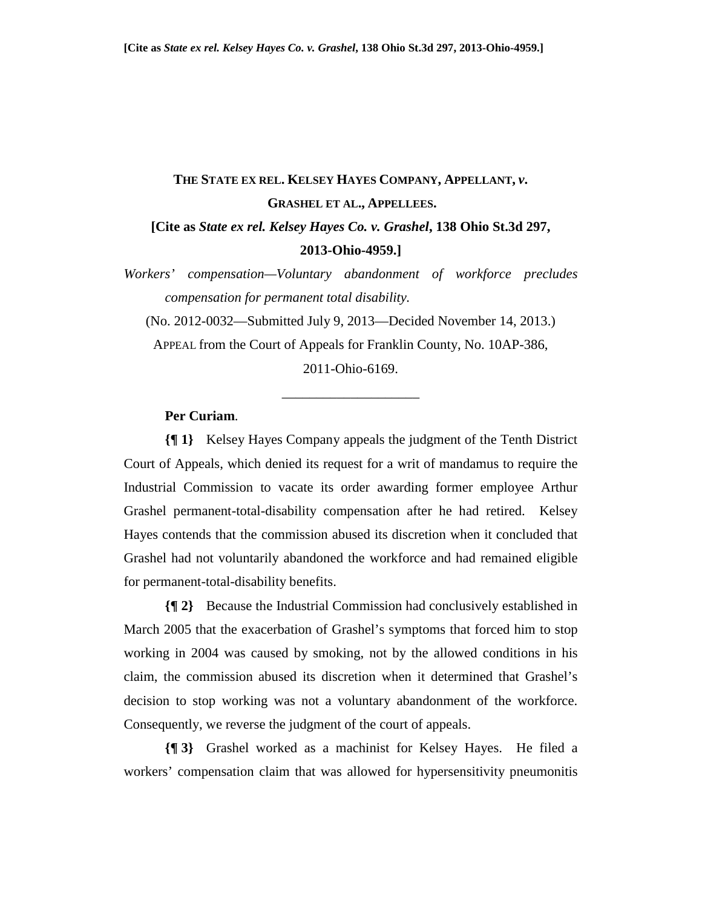## **THE STATE EX REL. KELSEY HAYES COMPANY, APPELLANT,** *v***. GRASHEL ET AL., APPELLEES. [Cite as** *State ex rel. Kelsey Hayes Co. v. Grashel***, 138 Ohio St.3d 297,**

## **2013-Ohio-4959.]**

*Workers' compensation—Voluntary abandonment of workforce precludes compensation for permanent total disability.* 

(No. 2012-0032—Submitted July 9, 2013—Decided November 14, 2013.)

APPEAL from the Court of Appeals for Franklin County, No. 10AP-386,

2011-Ohio-6169.

\_\_\_\_\_\_\_\_\_\_\_\_\_\_\_\_\_\_\_\_

## **Per Curiam**.

**{¶ 1}** Kelsey Hayes Company appeals the judgment of the Tenth District Court of Appeals, which denied its request for a writ of mandamus to require the Industrial Commission to vacate its order awarding former employee Arthur Grashel permanent-total-disability compensation after he had retired. Kelsey Hayes contends that the commission abused its discretion when it concluded that Grashel had not voluntarily abandoned the workforce and had remained eligible for permanent-total-disability benefits.

**{¶ 2}** Because the Industrial Commission had conclusively established in March 2005 that the exacerbation of Grashel's symptoms that forced him to stop working in 2004 was caused by smoking, not by the allowed conditions in his claim, the commission abused its discretion when it determined that Grashel's decision to stop working was not a voluntary abandonment of the workforce. Consequently, we reverse the judgment of the court of appeals.

**{¶ 3}** Grashel worked as a machinist for Kelsey Hayes. He filed a workers' compensation claim that was allowed for hypersensitivity pneumonitis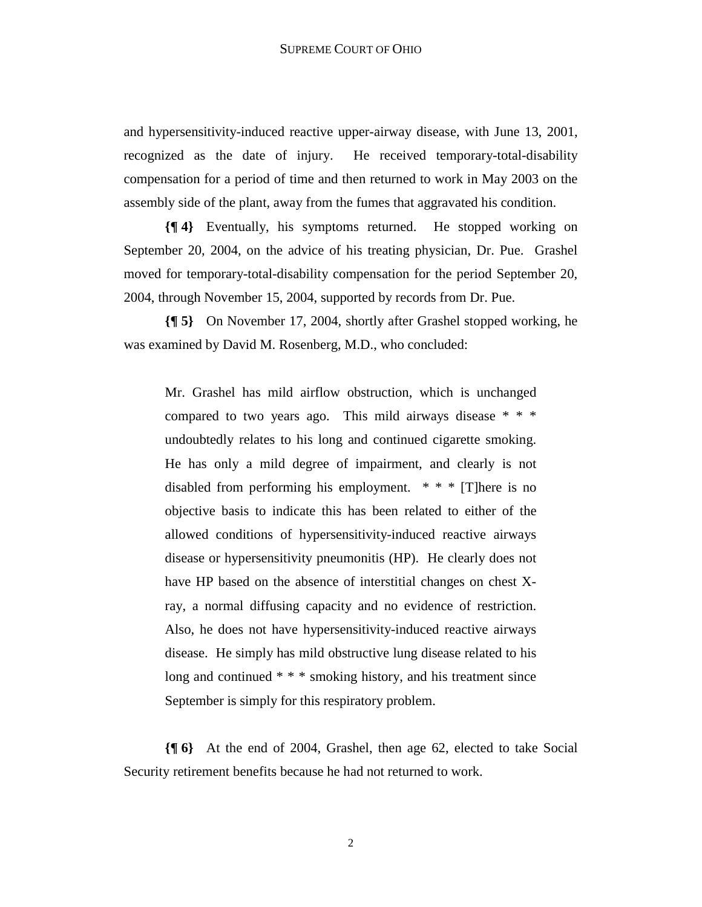and hypersensitivity-induced reactive upper-airway disease, with June 13, 2001, recognized as the date of injury. He received temporary-total-disability compensation for a period of time and then returned to work in May 2003 on the assembly side of the plant, away from the fumes that aggravated his condition.

**{¶ 4}** Eventually, his symptoms returned. He stopped working on September 20, 2004, on the advice of his treating physician, Dr. Pue. Grashel moved for temporary-total-disability compensation for the period September 20, 2004, through November 15, 2004, supported by records from Dr. Pue.

**{¶ 5}** On November 17, 2004, shortly after Grashel stopped working, he was examined by David M. Rosenberg, M.D., who concluded:

Mr. Grashel has mild airflow obstruction, which is unchanged compared to two years ago. This mild airways disease \* \* \* undoubtedly relates to his long and continued cigarette smoking. He has only a mild degree of impairment, and clearly is not disabled from performing his employment. \* \* \* [T]here is no objective basis to indicate this has been related to either of the allowed conditions of hypersensitivity-induced reactive airways disease or hypersensitivity pneumonitis (HP). He clearly does not have HP based on the absence of interstitial changes on chest Xray, a normal diffusing capacity and no evidence of restriction. Also, he does not have hypersensitivity-induced reactive airways disease. He simply has mild obstructive lung disease related to his long and continued  $**$  smoking history, and his treatment since September is simply for this respiratory problem.

**{¶ 6}** At the end of 2004, Grashel, then age 62, elected to take Social Security retirement benefits because he had not returned to work.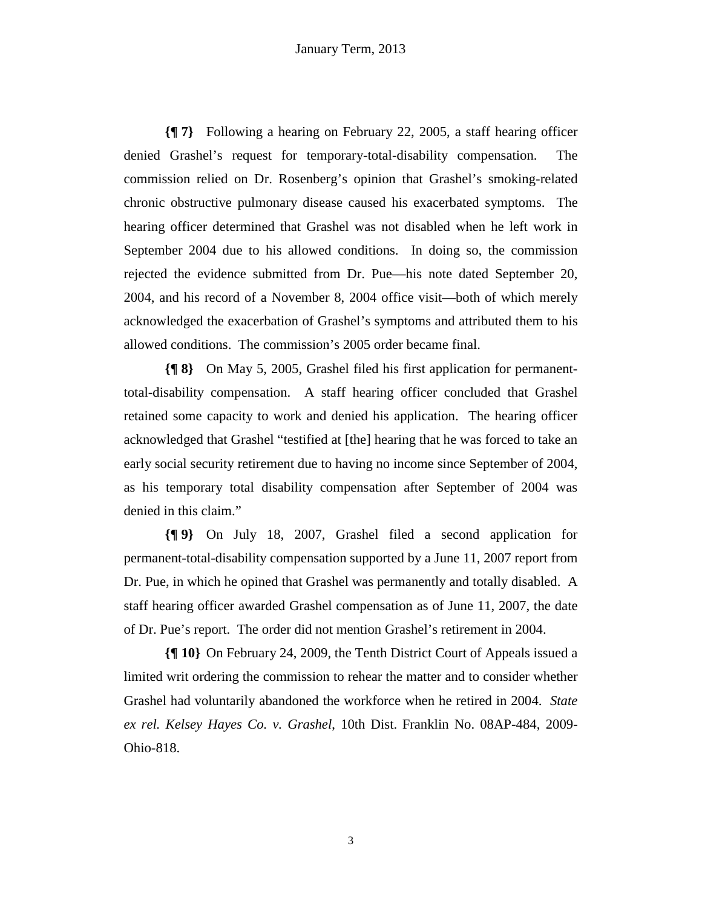**{¶ 7}** Following a hearing on February 22, 2005, a staff hearing officer denied Grashel's request for temporary-total-disability compensation. The commission relied on Dr. Rosenberg's opinion that Grashel's smoking-related chronic obstructive pulmonary disease caused his exacerbated symptoms. The hearing officer determined that Grashel was not disabled when he left work in September 2004 due to his allowed conditions. In doing so, the commission rejected the evidence submitted from Dr. Pue—his note dated September 20, 2004, and his record of a November 8, 2004 office visit—both of which merely acknowledged the exacerbation of Grashel's symptoms and attributed them to his allowed conditions. The commission's 2005 order became final.

**{¶ 8}** On May 5, 2005, Grashel filed his first application for permanenttotal-disability compensation. A staff hearing officer concluded that Grashel retained some capacity to work and denied his application. The hearing officer acknowledged that Grashel "testified at [the] hearing that he was forced to take an early social security retirement due to having no income since September of 2004, as his temporary total disability compensation after September of 2004 was denied in this claim."

**{¶ 9}** On July 18, 2007, Grashel filed a second application for permanent-total-disability compensation supported by a June 11, 2007 report from Dr. Pue, in which he opined that Grashel was permanently and totally disabled. A staff hearing officer awarded Grashel compensation as of June 11, 2007, the date of Dr. Pue's report. The order did not mention Grashel's retirement in 2004.

**{¶ 10}** On February 24, 2009, the Tenth District Court of Appeals issued a limited writ ordering the commission to rehear the matter and to consider whether Grashel had voluntarily abandoned the workforce when he retired in 2004. *State ex rel. Kelsey Hayes Co. v. Grashel*, 10th Dist. Franklin No. 08AP-484, 2009- Ohio-818.

3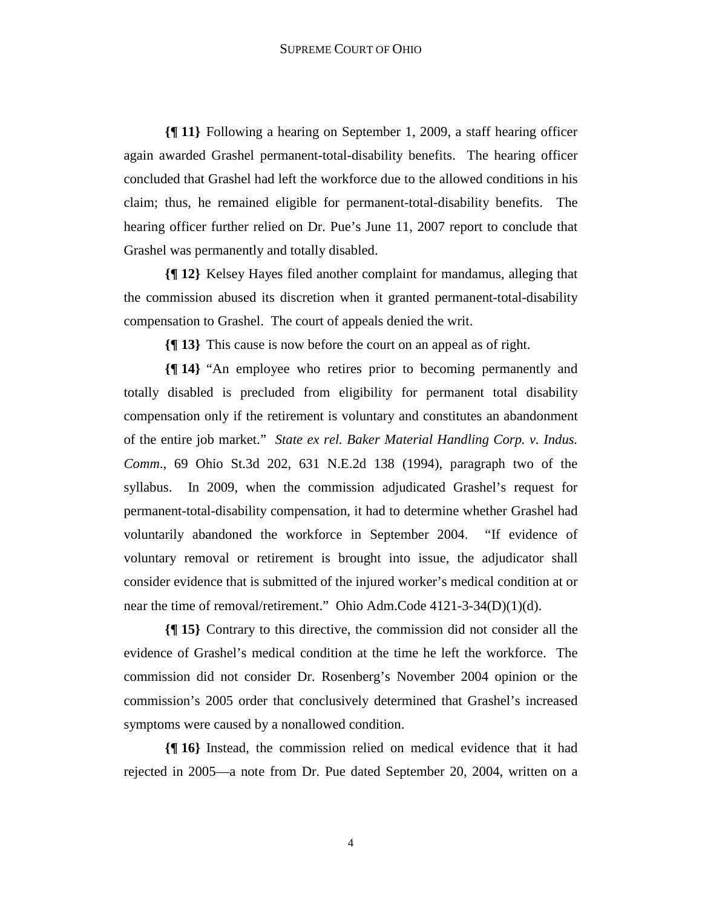**{¶ 11}** Following a hearing on September 1, 2009, a staff hearing officer again awarded Grashel permanent-total-disability benefits. The hearing officer concluded that Grashel had left the workforce due to the allowed conditions in his claim; thus, he remained eligible for permanent-total-disability benefits. The hearing officer further relied on Dr. Pue's June 11, 2007 report to conclude that Grashel was permanently and totally disabled.

**{¶ 12}** Kelsey Hayes filed another complaint for mandamus, alleging that the commission abused its discretion when it granted permanent-total-disability compensation to Grashel. The court of appeals denied the writ.

**{¶ 13}** This cause is now before the court on an appeal as of right.

**{¶ 14}** "An employee who retires prior to becoming permanently and totally disabled is precluded from eligibility for permanent total disability compensation only if the retirement is voluntary and constitutes an abandonment of the entire job market." *State ex rel. Baker Material Handling Corp. v. Indus. Comm*., 69 Ohio St.3d 202, 631 N.E.2d 138 (1994), paragraph two of the syllabus. In 2009, when the commission adjudicated Grashel's request for permanent-total-disability compensation, it had to determine whether Grashel had voluntarily abandoned the workforce in September 2004. "If evidence of voluntary removal or retirement is brought into issue, the adjudicator shall consider evidence that is submitted of the injured worker's medical condition at or near the time of removal/retirement." Ohio Adm.Code 4121-3-34(D)(1)(d).

**{¶ 15}** Contrary to this directive, the commission did not consider all the evidence of Grashel's medical condition at the time he left the workforce. The commission did not consider Dr. Rosenberg's November 2004 opinion or the commission's 2005 order that conclusively determined that Grashel's increased symptoms were caused by a nonallowed condition.

**{¶ 16}** Instead, the commission relied on medical evidence that it had rejected in 2005—a note from Dr. Pue dated September 20, 2004, written on a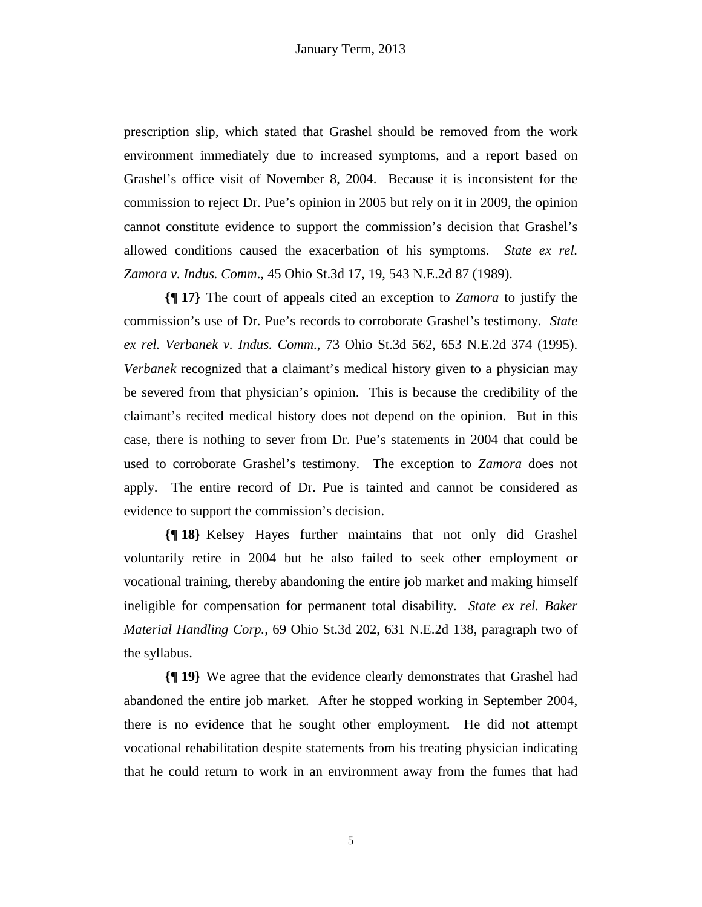prescription slip, which stated that Grashel should be removed from the work environment immediately due to increased symptoms, and a report based on Grashel's office visit of November 8, 2004. Because it is inconsistent for the commission to reject Dr. Pue's opinion in 2005 but rely on it in 2009, the opinion cannot constitute evidence to support the commission's decision that Grashel's allowed conditions caused the exacerbation of his symptoms. *State ex rel. Zamora v. Indus. Comm*.*,* 45 Ohio St.3d 17, 19, 543 N.E.2d 87 (1989).

**{¶ 17}** The court of appeals cited an exception to *Zamora* to justify the commission's use of Dr. Pue's records to corroborate Grashel's testimony. *State ex rel. Verbanek v. Indus. Comm*., 73 Ohio St.3d 562, 653 N.E.2d 374 (1995). *Verbanek* recognized that a claimant's medical history given to a physician may be severed from that physician's opinion. This is because the credibility of the claimant's recited medical history does not depend on the opinion. But in this case, there is nothing to sever from Dr. Pue's statements in 2004 that could be used to corroborate Grashel's testimony. The exception to *Zamora* does not apply. The entire record of Dr. Pue is tainted and cannot be considered as evidence to support the commission's decision.

**{¶ 18}** Kelsey Hayes further maintains that not only did Grashel voluntarily retire in 2004 but he also failed to seek other employment or vocational training, thereby abandoning the entire job market and making himself ineligible for compensation for permanent total disability. *State ex rel. Baker Material Handling Corp.,* 69 Ohio St.3d 202, 631 N.E.2d 138, paragraph two of the syllabus.

**{¶ 19}** We agree that the evidence clearly demonstrates that Grashel had abandoned the entire job market. After he stopped working in September 2004, there is no evidence that he sought other employment. He did not attempt vocational rehabilitation despite statements from his treating physician indicating that he could return to work in an environment away from the fumes that had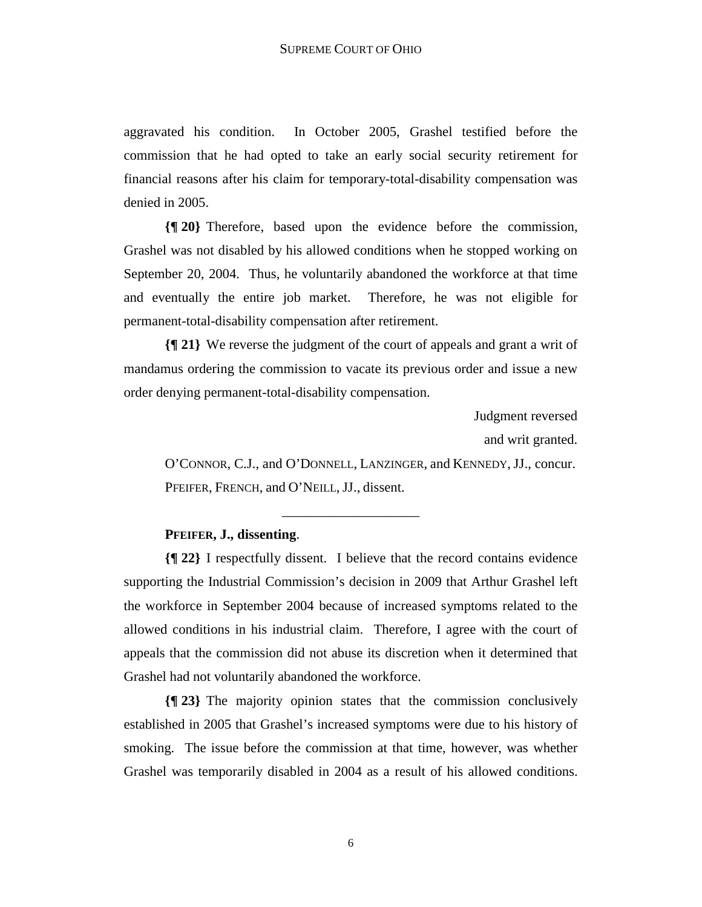aggravated his condition. In October 2005, Grashel testified before the commission that he had opted to take an early social security retirement for financial reasons after his claim for temporary-total-disability compensation was denied in 2005.

**{¶ 20}** Therefore, based upon the evidence before the commission, Grashel was not disabled by his allowed conditions when he stopped working on September 20, 2004. Thus, he voluntarily abandoned the workforce at that time and eventually the entire job market. Therefore, he was not eligible for permanent-total-disability compensation after retirement.

**{¶ 21}** We reverse the judgment of the court of appeals and grant a writ of mandamus ordering the commission to vacate its previous order and issue a new order denying permanent-total-disability compensation.

> Judgment reversed and writ granted.

O'CONNOR, C.J., and O'DONNELL, LANZINGER, and KENNEDY, JJ., concur. PFEIFER, FRENCH, and O'NEILL, JJ., dissent.

## **PFEIFER, J., dissenting**.

**{¶ 22}** I respectfully dissent. I believe that the record contains evidence supporting the Industrial Commission's decision in 2009 that Arthur Grashel left the workforce in September 2004 because of increased symptoms related to the allowed conditions in his industrial claim. Therefore, I agree with the court of appeals that the commission did not abuse its discretion when it determined that Grashel had not voluntarily abandoned the workforce.

\_\_\_\_\_\_\_\_\_\_\_\_\_\_\_\_\_\_\_\_

**{¶ 23}** The majority opinion states that the commission conclusively established in 2005 that Grashel's increased symptoms were due to his history of smoking. The issue before the commission at that time, however, was whether Grashel was temporarily disabled in 2004 as a result of his allowed conditions.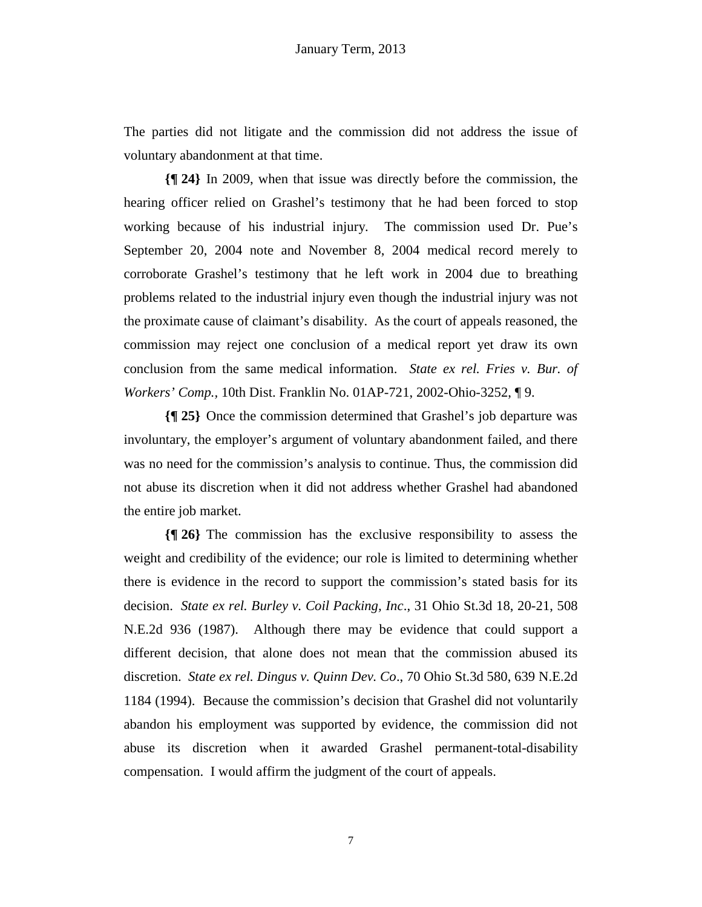The parties did not litigate and the commission did not address the issue of voluntary abandonment at that time.

**{¶ 24}** In 2009, when that issue was directly before the commission, the hearing officer relied on Grashel's testimony that he had been forced to stop working because of his industrial injury. The commission used Dr. Pue's September 20, 2004 note and November 8, 2004 medical record merely to corroborate Grashel's testimony that he left work in 2004 due to breathing problems related to the industrial injury even though the industrial injury was not the proximate cause of claimant's disability. As the court of appeals reasoned, the commission may reject one conclusion of a medical report yet draw its own conclusion from the same medical information. *State ex rel. Fries v. Bur. of Workers' Comp.,* 10th Dist. Franklin No. 01AP-721, 2002-Ohio-3252, ¶ 9.

**{¶ 25}** Once the commission determined that Grashel's job departure was involuntary, the employer's argument of voluntary abandonment failed, and there was no need for the commission's analysis to continue. Thus, the commission did not abuse its discretion when it did not address whether Grashel had abandoned the entire job market.

**{¶ 26}** The commission has the exclusive responsibility to assess the weight and credibility of the evidence; our role is limited to determining whether there is evidence in the record to support the commission's stated basis for its decision. *State ex rel. Burley v. Coil Packing, Inc*., 31 Ohio St.3d 18, 20-21, 508 N.E.2d 936 (1987). Although there may be evidence that could support a different decision, that alone does not mean that the commission abused its discretion. *State ex rel. Dingus v. Quinn Dev. Co*., 70 Ohio St.3d 580, 639 N.E.2d 1184 (1994). Because the commission's decision that Grashel did not voluntarily abandon his employment was supported by evidence, the commission did not abuse its discretion when it awarded Grashel permanent-total-disability compensation. I would affirm the judgment of the court of appeals.